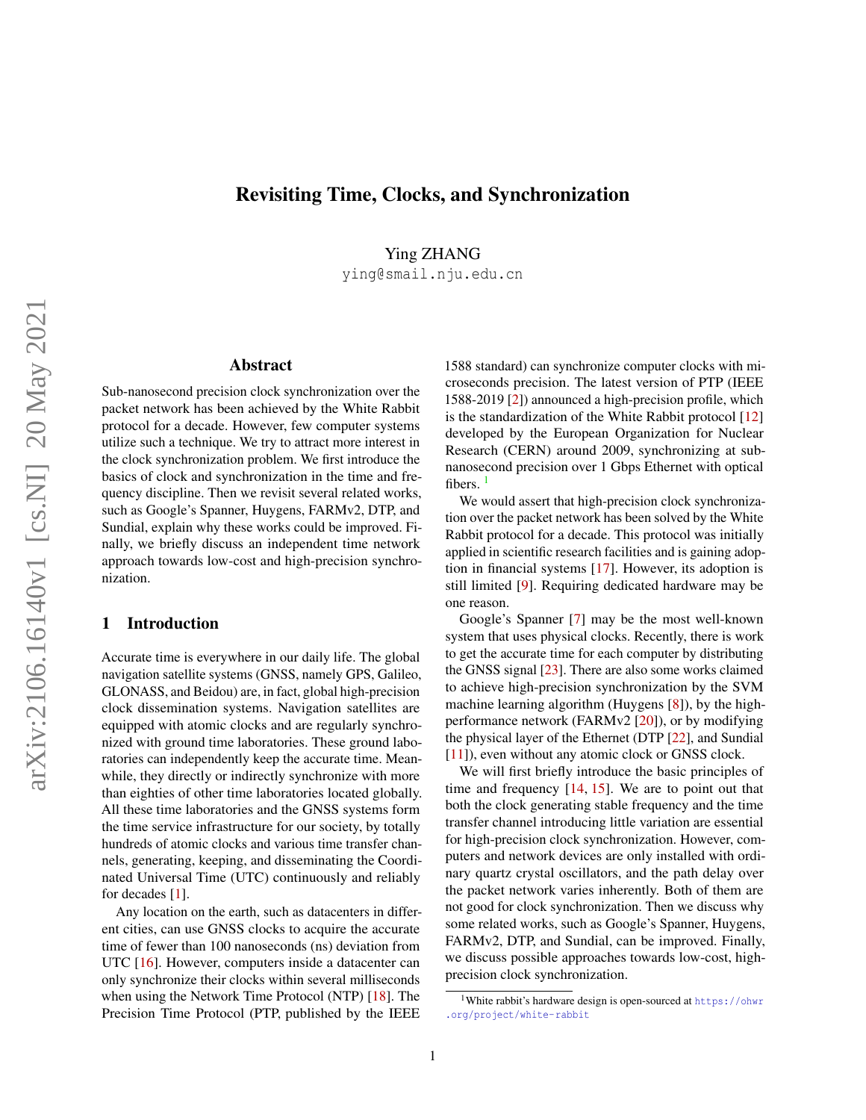# Revisiting Time, Clocks, and Synchronization

Ying ZHANG

ying@smail.nju.edu.cn

# Abstract

Sub-nanosecond precision clock synchronization over the packet network has been achieved by the White Rabbit protocol for a decade. However, few computer systems utilize such a technique. We try to attract more interest in the clock synchronization problem. We first introduce the basics of clock and synchronization in the time and frequency discipline. Then we revisit several related works, such as Google's Spanner, Huygens, FARMv2, DTP, and Sundial, explain why these works could be improved. Finally, we briefly discuss an independent time network approach towards low-cost and high-precision synchronization.

#### 1 Introduction

Accurate time is everywhere in our daily life. The global navigation satellite systems (GNSS, namely GPS, Galileo, GLONASS, and Beidou) are, in fact, global high-precision clock dissemination systems. Navigation satellites are equipped with atomic clocks and are regularly synchronized with ground time laboratories. These ground laboratories can independently keep the accurate time. Meanwhile, they directly or indirectly synchronize with more than eighties of other time laboratories located globally. All these time laboratories and the GNSS systems form the time service infrastructure for our society, by totally hundreds of atomic clocks and various time transfer channels, generating, keeping, and disseminating the Coordinated Universal Time (UTC) continuously and reliably for decades [\[1\]](#page-4-0).

Any location on the earth, such as datacenters in different cities, can use GNSS clocks to acquire the accurate time of fewer than 100 nanoseconds (ns) deviation from UTC [\[16\]](#page-5-0). However, computers inside a datacenter can only synchronize their clocks within several milliseconds when using the Network Time Protocol (NTP) [\[18\]](#page-5-1). The Precision Time Protocol (PTP, published by the IEEE 1588 standard) can synchronize computer clocks with microseconds precision. The latest version of PTP (IEEE 1588-2019 [\[2\]](#page-4-1)) announced a high-precision profile, which is the standardization of the White Rabbit protocol [\[12\]](#page-5-2) developed by the European Organization for Nuclear Research (CERN) around 2009, synchronizing at subnanosecond precision over 1 Gbps Ethernet with optical fibers.

We would assert that high-precision clock synchronization over the packet network has been solved by the White Rabbit protocol for a decade. This protocol was initially applied in scientific research facilities and is gaining adoption in financial systems [\[17\]](#page-5-3). However, its adoption is still limited [\[9\]](#page-5-4). Requiring dedicated hardware may be one reason.

Google's Spanner [\[7\]](#page-5-5) may be the most well-known system that uses physical clocks. Recently, there is work to get the accurate time for each computer by distributing the GNSS signal [\[23\]](#page-5-6). There are also some works claimed to achieve high-precision synchronization by the SVM machine learning algorithm (Huygens [\[8\]](#page-5-7)), by the highperformance network (FARMv2 [\[20\]](#page-5-8)), or by modifying the physical layer of the Ethernet (DTP [\[22\]](#page-5-9), and Sundial [\[11\]](#page-5-10)), even without any atomic clock or GNSS clock.

We will first briefly introduce the basic principles of time and frequency [\[14,](#page-5-11) [15\]](#page-5-12). We are to point out that both the clock generating stable frequency and the time transfer channel introducing little variation are essential for high-precision clock synchronization. However, computers and network devices are only installed with ordinary quartz crystal oscillators, and the path delay over the packet network varies inherently. Both of them are not good for clock synchronization. Then we discuss why some related works, such as Google's Spanner, Huygens, FARMv2, DTP, and Sundial, can be improved. Finally, we discuss possible approaches towards low-cost, highprecision clock synchronization.

<span id="page-0-0"></span><sup>1</sup>White rabbit's hardware design is open-sourced at [https://ohwr](https://ohwr.org/project/white-rabbit) [.org/project/white-rabbit](https://ohwr.org/project/white-rabbit)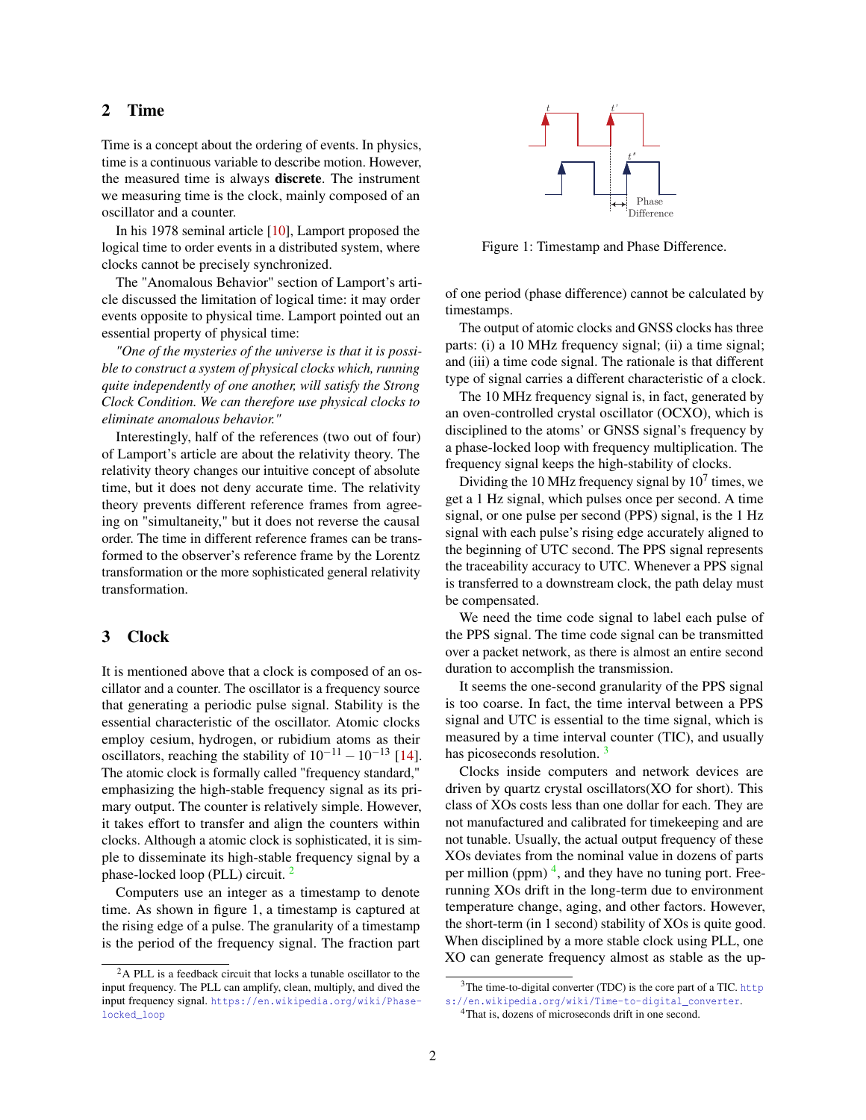# 2 Time

Time is a concept about the ordering of events. In physics, time is a continuous variable to describe motion. However, the measured time is always discrete. The instrument we measuring time is the clock, mainly composed of an oscillator and a counter.

In his 1978 seminal article [\[10\]](#page-5-13), Lamport proposed the logical time to order events in a distributed system, where clocks cannot be precisely synchronized.

The "Anomalous Behavior" section of Lamport's article discussed the limitation of logical time: it may order events opposite to physical time. Lamport pointed out an essential property of physical time:

*"One of the mysteries of the universe is that it is possible to construct a system of physical clocks which, running quite independently of one another, will satisfy the Strong Clock Condition. We can therefore use physical clocks to eliminate anomalous behavior."*

Interestingly, half of the references (two out of four) of Lamport's article are about the relativity theory. The relativity theory changes our intuitive concept of absolute time, but it does not deny accurate time. The relativity theory prevents different reference frames from agreeing on "simultaneity," but it does not reverse the causal order. The time in different reference frames can be transformed to the observer's reference frame by the Lorentz transformation or the more sophisticated general relativity transformation.

# 3 Clock

It is mentioned above that a clock is composed of an oscillator and a counter. The oscillator is a frequency source that generating a periodic pulse signal. Stability is the essential characteristic of the oscillator. Atomic clocks employ cesium, hydrogen, or rubidium atoms as their oscillators, reaching the stability of  $10^{-11} - 10^{-13}$  [\[14\]](#page-5-11). The atomic clock is formally called "frequency standard," emphasizing the high-stable frequency signal as its primary output. The counter is relatively simple. However, it takes effort to transfer and align the counters within clocks. Although a atomic clock is sophisticated, it is simple to disseminate its high-stable frequency signal by a phase-locked loop (PLL) circuit. [2](#page-1-0)

Computers use an integer as a timestamp to denote time. As shown in figure 1, a timestamp is captured at the rising edge of a pulse. The granularity of a timestamp is the period of the frequency signal. The fraction part



Figure 1: Timestamp and Phase Difference.

of one period (phase difference) cannot be calculated by timestamps.

The output of atomic clocks and GNSS clocks has three parts: (i) a 10 MHz frequency signal; (ii) a time signal; and (iii) a time code signal. The rationale is that different type of signal carries a different characteristic of a clock.

The 10 MHz frequency signal is, in fact, generated by an oven-controlled crystal oscillator (OCXO), which is disciplined to the atoms' or GNSS signal's frequency by a phase-locked loop with frequency multiplication. The frequency signal keeps the high-stability of clocks.

Dividing the 10 MHz frequency signal by  $10<sup>7</sup>$  times, we get a 1 Hz signal, which pulses once per second. A time signal, or one pulse per second (PPS) signal, is the 1 Hz signal with each pulse's rising edge accurately aligned to the beginning of UTC second. The PPS signal represents the traceability accuracy to UTC. Whenever a PPS signal is transferred to a downstream clock, the path delay must be compensated.

We need the time code signal to label each pulse of the PPS signal. The time code signal can be transmitted over a packet network, as there is almost an entire second duration to accomplish the transmission.

It seems the one-second granularity of the PPS signal is too coarse. In fact, the time interval between a PPS signal and UTC is essential to the time signal, which is measured by a time interval counter (TIC), and usually has picoseconds resolution.<sup>[3](#page-1-1)</sup>

Clocks inside computers and network devices are driven by quartz crystal oscillators(XO for short). This class of XOs costs less than one dollar for each. They are not manufactured and calibrated for timekeeping and are not tunable. Usually, the actual output frequency of these XOs deviates from the nominal value in dozens of parts per million (ppm)<sup>[4](#page-1-2)</sup>, and they have no tuning port. Freerunning XOs drift in the long-term due to environment temperature change, aging, and other factors. However, the short-term (in 1 second) stability of XOs is quite good. When disciplined by a more stable clock using PLL, one XO can generate frequency almost as stable as the up-

<span id="page-1-0"></span><sup>&</sup>lt;sup>2</sup>A PLL is a feedback circuit that locks a tunable oscillator to the input frequency. The PLL can amplify, clean, multiply, and dived the input frequency signal. [https://en.wikipedia.org/wiki/Phase](https://en.wikipedia.org/wiki/Phase-locked_loop)[locked\\_loop](https://en.wikipedia.org/wiki/Phase-locked_loop)

<span id="page-1-1"></span><sup>&</sup>lt;sup>3</sup>The time-to-digital converter (TDC) is the core part of a TIC. [http](https://en.wikipedia.org/wiki/Time-to-digital_converter) [s://en.wikipedia.org/wiki/Time-to-digital\\_converter](https://en.wikipedia.org/wiki/Time-to-digital_converter).

<span id="page-1-2"></span><sup>4</sup>That is, dozens of microseconds drift in one second.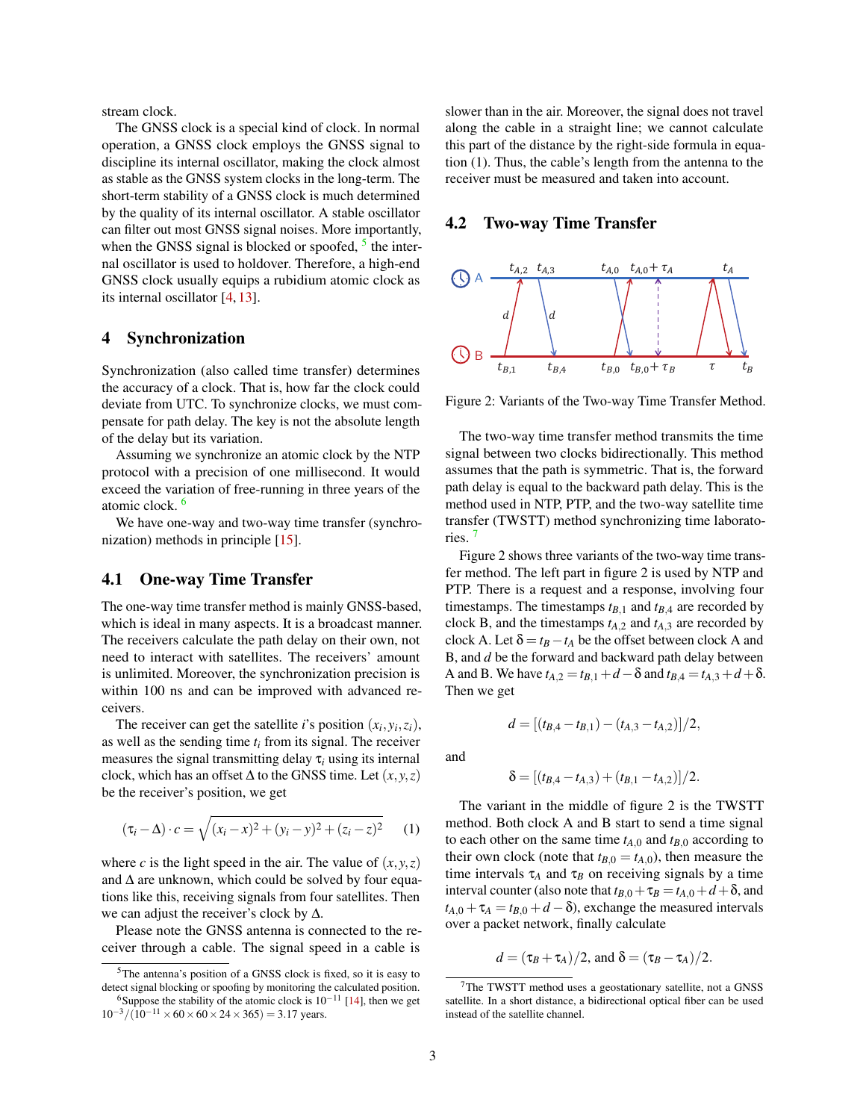stream clock.

The GNSS clock is a special kind of clock. In normal operation, a GNSS clock employs the GNSS signal to discipline its internal oscillator, making the clock almost as stable as the GNSS system clocks in the long-term. The short-term stability of a GNSS clock is much determined by the quality of its internal oscillator. A stable oscillator can filter out most GNSS signal noises. More importantly, when the GNSS signal is blocked or spoofed,  $5$  the internal oscillator is used to holdover. Therefore, a high-end GNSS clock usually equips a rubidium atomic clock as its internal oscillator [\[4,](#page-4-2) [13\]](#page-5-14).

# 4 Synchronization

Synchronization (also called time transfer) determines the accuracy of a clock. That is, how far the clock could deviate from UTC. To synchronize clocks, we must compensate for path delay. The key is not the absolute length of the delay but its variation.

Assuming we synchronize an atomic clock by the NTP protocol with a precision of one millisecond. It would exceed the variation of free-running in three years of the atomic clock. [6](#page-2-1)

We have one-way and two-way time transfer (synchronization) methods in principle [\[15\]](#page-5-12).

#### 4.1 One-way Time Transfer

The one-way time transfer method is mainly GNSS-based, which is ideal in many aspects. It is a broadcast manner. The receivers calculate the path delay on their own, not need to interact with satellites. The receivers' amount is unlimited. Moreover, the synchronization precision is within 100 ns and can be improved with advanced receivers.

The receiver can get the satellite *i*'s position  $(x_i, y_i, z_i)$ , as well as the sending time *t<sup>i</sup>* from its signal. The receiver measures the signal transmitting delay  $\tau_i$  using its internal clock, which has an offset  $\Delta$  to the GNSS time. Let  $(x, y, z)$ be the receiver's position, we get

$$
(\tau_i - \Delta) \cdot c = \sqrt{(x_i - x)^2 + (y_i - y)^2 + (z_i - z)^2}
$$
 (1)

where *c* is the light speed in the air. The value of  $(x, y, z)$ and  $\Delta$  are unknown, which could be solved by four equations like this, receiving signals from four satellites. Then we can adjust the receiver's clock by ∆.

Please note the GNSS antenna is connected to the receiver through a cable. The signal speed in a cable is slower than in the air. Moreover, the signal does not travel along the cable in a straight line; we cannot calculate this part of the distance by the right-side formula in equation (1). Thus, the cable's length from the antenna to the receiver must be measured and taken into account.

#### 4.2 Two-way Time Transfer



Figure 2: Variants of the Two-way Time Transfer Method.

The two-way time transfer method transmits the time signal between two clocks bidirectionally. This method assumes that the path is symmetric. That is, the forward path delay is equal to the backward path delay. This is the method used in NTP, PTP, and the two-way satellite time transfer (TWSTT) method synchronizing time laboratories. [7](#page-2-2)

Figure 2 shows three variants of the two-way time transfer method. The left part in figure 2 is used by NTP and PTP. There is a request and a response, involving four timestamps. The timestamps  $t_{B,1}$  and  $t_{B,4}$  are recorded by clock B, and the timestamps  $t_{A,2}$  and  $t_{A,3}$  are recorded by clock A. Let  $\delta = t_B - t_A$  be the offset between clock A and B, and *d* be the forward and backward path delay between A and B. We have  $t_{A,2} = t_{B,1} + d - \delta$  and  $t_{B,4} = t_{A,3} + d + \delta$ . Then we get

and

$$
\delta = [(t_{B,4} - t_{A,3}) + (t_{B,1} - t_{A,2})]/2.
$$

 $d = \frac{(t_{B4} - t_{B1}) - (t_{A3} - t_{A2})}{2}$ 

The variant in the middle of figure 2 is the TWSTT method. Both clock A and B start to send a time signal to each other on the same time  $t_{A,0}$  and  $t_{B,0}$  according to their own clock (note that  $t_{B,0} = t_{A,0}$ ), then measure the time intervals  $\tau_A$  and  $\tau_B$  on receiving signals by a time interval counter (also note that  $t_{B,0} + \tau_B = t_{A,0} + d + \delta$ , and  $t_{A,0} + \tau_A = t_{B,0} + d - \delta$ , exchange the measured intervals over a packet network, finally calculate

$$
d = (\tau_B + \tau_A)/2
$$
, and  $\delta = (\tau_B - \tau_A)/2$ .

<span id="page-2-0"></span><sup>5</sup>The antenna's position of a GNSS clock is fixed, so it is easy to detect signal blocking or spoofing by monitoring the calculated position. <sup>6</sup>Suppose the stability of the atomic clock is  $10^{-11}$  [\[14\]](#page-5-11), then we get

<span id="page-2-1"></span> $10^{-3}/(10^{-11} \times 60 \times 60 \times 24 \times 365) = 3.17$  years.

<span id="page-2-2"></span><sup>7</sup>The TWSTT method uses a geostationary satellite, not a GNSS satellite. In a short distance, a bidirectional optical fiber can be used instead of the satellite channel.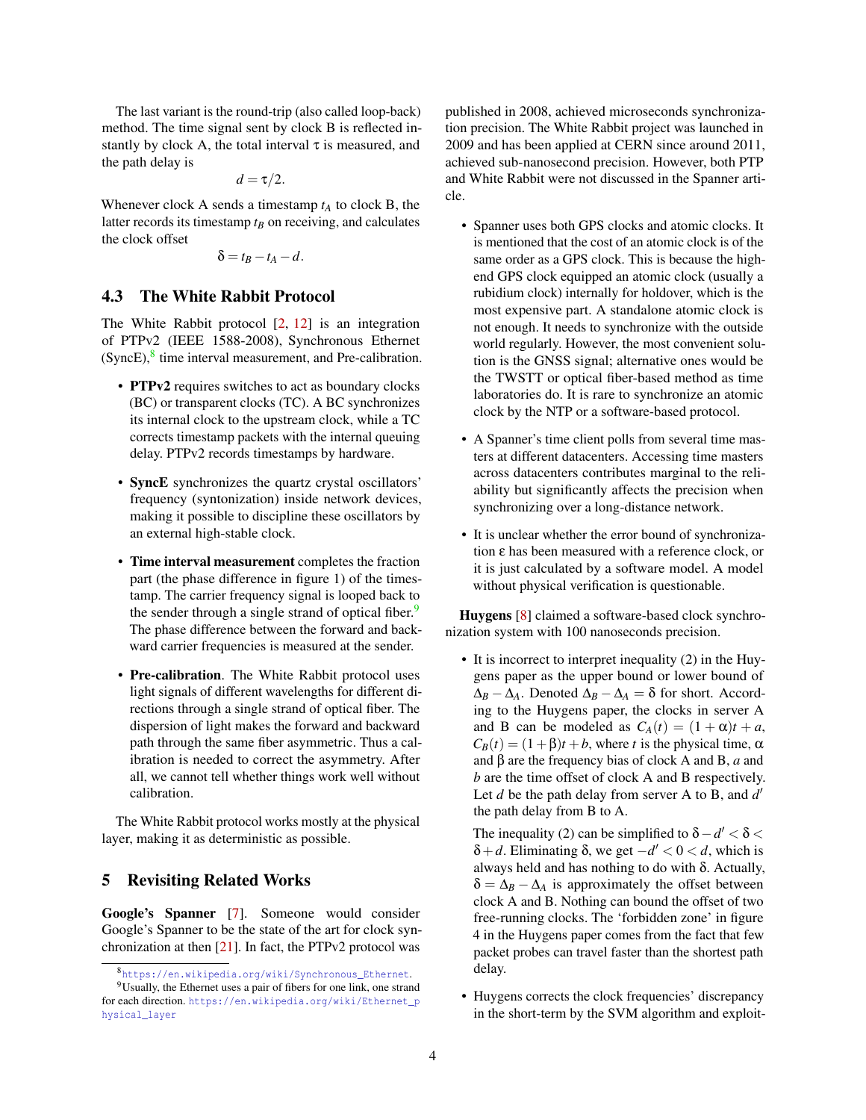The last variant is the round-trip (also called loop-back) method. The time signal sent by clock B is reflected instantly by clock A, the total interval  $\tau$  is measured, and the path delay is

$$
d=\tau/2.
$$

Whenever clock A sends a timestamp *t<sup>A</sup>* to clock B, the latter records its timestamp *t<sup>B</sup>* on receiving, and calculates the clock offset

$$
\delta = t_B - t_A - d.
$$

#### 4.3 The White Rabbit Protocol

The White Rabbit protocol [\[2,](#page-4-1) [12\]](#page-5-2) is an integration of PTPv2 (IEEE 1588-2008), Synchronous Ethernet  $(SyncE)$ ,  $\frac{8}{3}$  $\frac{8}{3}$  $\frac{8}{3}$  time interval measurement, and Pre-calibration.

- PTPv2 requires switches to act as boundary clocks (BC) or transparent clocks (TC). A BC synchronizes its internal clock to the upstream clock, while a TC corrects timestamp packets with the internal queuing delay. PTPv2 records timestamps by hardware.
- SyncE synchronizes the quartz crystal oscillators' frequency (syntonization) inside network devices, making it possible to discipline these oscillators by an external high-stable clock.
- Time interval measurement completes the fraction part (the phase difference in figure 1) of the timestamp. The carrier frequency signal is looped back to the sender through a single strand of optical fiber.<sup>[9](#page-3-1)</sup> The phase difference between the forward and backward carrier frequencies is measured at the sender.
- Pre-calibration. The White Rabbit protocol uses light signals of different wavelengths for different directions through a single strand of optical fiber. The dispersion of light makes the forward and backward path through the same fiber asymmetric. Thus a calibration is needed to correct the asymmetry. After all, we cannot tell whether things work well without calibration.

The White Rabbit protocol works mostly at the physical layer, making it as deterministic as possible.

# 5 Revisiting Related Works

Google's Spanner [\[7\]](#page-5-5). Someone would consider Google's Spanner to be the state of the art for clock synchronization at then  $[21]$ . In fact, the PTPv2 protocol was

published in 2008, achieved microseconds synchronization precision. The White Rabbit project was launched in 2009 and has been applied at CERN since around 2011, achieved sub-nanosecond precision. However, both PTP and White Rabbit were not discussed in the Spanner article.

- Spanner uses both GPS clocks and atomic clocks. It is mentioned that the cost of an atomic clock is of the same order as a GPS clock. This is because the highend GPS clock equipped an atomic clock (usually a rubidium clock) internally for holdover, which is the most expensive part. A standalone atomic clock is not enough. It needs to synchronize with the outside world regularly. However, the most convenient solution is the GNSS signal; alternative ones would be the TWSTT or optical fiber-based method as time laboratories do. It is rare to synchronize an atomic clock by the NTP or a software-based protocol.
- A Spanner's time client polls from several time masters at different datacenters. Accessing time masters across datacenters contributes marginal to the reliability but significantly affects the precision when synchronizing over a long-distance network.
- It is unclear whether the error bound of synchronization ε has been measured with a reference clock, or it is just calculated by a software model. A model without physical verification is questionable.

Huygens [\[8\]](#page-5-7) claimed a software-based clock synchronization system with 100 nanoseconds precision.

• It is incorrect to interpret inequality (2) in the Huygens paper as the upper bound or lower bound of  $\Delta_B - \Delta_A$ . Denoted  $\Delta_B - \Delta_A = \delta$  for short. According to the Huygens paper, the clocks in server A and B can be modeled as  $C_A(t) = (1 + \alpha)t + a$ ,  $C_B(t) = (1+\beta)t + b$ , where *t* is the physical time,  $\alpha$ and β are the frequency bias of clock A and B, *a* and *b* are the time offset of clock A and B respectively. Let *d* be the path delay from server A to B, and *d'* the path delay from B to A.

The inequality (2) can be simplified to  $\delta - d' < \delta$  $δ + d$ . Eliminating δ, we get  $-d' < 0 < d$ , which is always held and has nothing to do with δ. Actually,  $\delta = \Delta_B - \Delta_A$  is approximately the offset between clock A and B. Nothing can bound the offset of two free-running clocks. The 'forbidden zone' in figure 4 in the Huygens paper comes from the fact that few packet probes can travel faster than the shortest path delay.

• Huygens corrects the clock frequencies' discrepancy in the short-term by the SVM algorithm and exploit-

<span id="page-3-1"></span><span id="page-3-0"></span><sup>8</sup>[https://en.wikipedia.org/wiki/Synchronous\\_Ethernet](https://en.wikipedia.org/wiki/Synchronous_Ethernet).

<sup>9</sup>Usually, the Ethernet uses a pair of fibers for one link, one strand for each direction. [https://en.wikipedia.org/wiki/Ethernet\\_p](https://en.wikipedia.org/wiki/Ethernet_physical_layer) [hysical\\_layer](https://en.wikipedia.org/wiki/Ethernet_physical_layer)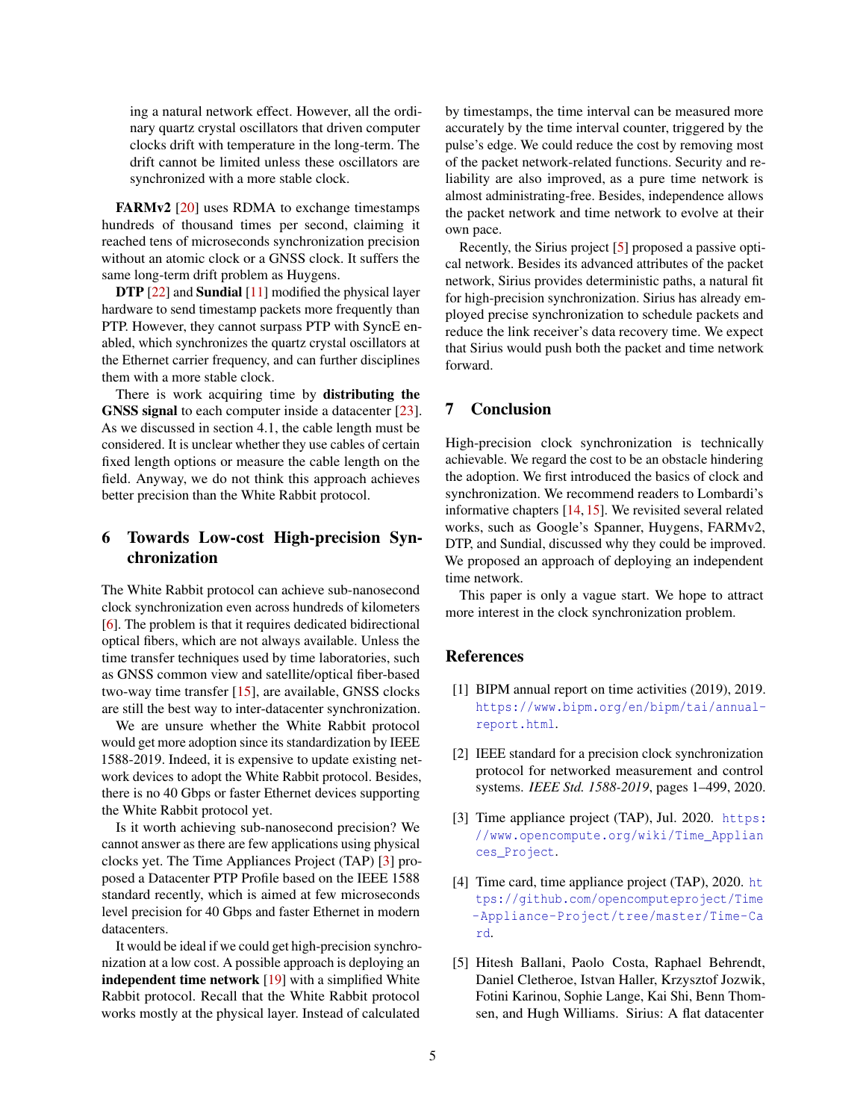ing a natural network effect. However, all the ordinary quartz crystal oscillators that driven computer clocks drift with temperature in the long-term. The drift cannot be limited unless these oscillators are synchronized with a more stable clock.

FARMv2 [\[20\]](#page-5-8) uses RDMA to exchange timestamps hundreds of thousand times per second, claiming it reached tens of microseconds synchronization precision without an atomic clock or a GNSS clock. It suffers the same long-term drift problem as Huygens.

DTP [\[22\]](#page-5-9) and Sundial [\[11\]](#page-5-10) modified the physical layer hardware to send timestamp packets more frequently than PTP. However, they cannot surpass PTP with SyncE enabled, which synchronizes the quartz crystal oscillators at the Ethernet carrier frequency, and can further disciplines them with a more stable clock.

There is work acquiring time by distributing the GNSS signal to each computer inside a datacenter [\[23\]](#page-5-6). As we discussed in section 4.1, the cable length must be considered. It is unclear whether they use cables of certain fixed length options or measure the cable length on the field. Anyway, we do not think this approach achieves better precision than the White Rabbit protocol.

# 6 Towards Low-cost High-precision Synchronization

The White Rabbit protocol can achieve sub-nanosecond clock synchronization even across hundreds of kilometers [\[6\]](#page-5-16). The problem is that it requires dedicated bidirectional optical fibers, which are not always available. Unless the time transfer techniques used by time laboratories, such as GNSS common view and satellite/optical fiber-based two-way time transfer [\[15\]](#page-5-12), are available, GNSS clocks are still the best way to inter-datacenter synchronization.

We are unsure whether the White Rabbit protocol would get more adoption since its standardization by IEEE 1588-2019. Indeed, it is expensive to update existing network devices to adopt the White Rabbit protocol. Besides, there is no 40 Gbps or faster Ethernet devices supporting the White Rabbit protocol yet.

Is it worth achieving sub-nanosecond precision? We cannot answer as there are few applications using physical clocks yet. The Time Appliances Project (TAP) [\[3\]](#page-4-3) proposed a Datacenter PTP Profile based on the IEEE 1588 standard recently, which is aimed at few microseconds level precision for 40 Gbps and faster Ethernet in modern datacenters.

It would be ideal if we could get high-precision synchronization at a low cost. A possible approach is deploying an independent time network [\[19\]](#page-5-17) with a simplified White Rabbit protocol. Recall that the White Rabbit protocol works mostly at the physical layer. Instead of calculated

by timestamps, the time interval can be measured more accurately by the time interval counter, triggered by the pulse's edge. We could reduce the cost by removing most of the packet network-related functions. Security and reliability are also improved, as a pure time network is almost administrating-free. Besides, independence allows the packet network and time network to evolve at their own pace.

Recently, the Sirius project [\[5\]](#page-4-4) proposed a passive optical network. Besides its advanced attributes of the packet network, Sirius provides deterministic paths, a natural fit for high-precision synchronization. Sirius has already employed precise synchronization to schedule packets and reduce the link receiver's data recovery time. We expect that Sirius would push both the packet and time network forward.

# 7 Conclusion

High-precision clock synchronization is technically achievable. We regard the cost to be an obstacle hindering the adoption. We first introduced the basics of clock and synchronization. We recommend readers to Lombardi's informative chapters [\[14,](#page-5-11) [15\]](#page-5-12). We revisited several related works, such as Google's Spanner, Huygens, FARMv2, DTP, and Sundial, discussed why they could be improved. We proposed an approach of deploying an independent time network.

This paper is only a vague start. We hope to attract more interest in the clock synchronization problem.

# References

- <span id="page-4-0"></span>[1] BIPM annual report on time activities (2019), 2019. [https://www.bipm.org/en/bipm/tai/annual](https://www.bipm.org/en/bipm/tai/annual-report.html)[report.html](https://www.bipm.org/en/bipm/tai/annual-report.html).
- <span id="page-4-1"></span>[2] IEEE standard for a precision clock synchronization protocol for networked measurement and control systems. *IEEE Std. 1588-2019*, pages 1–499, 2020.
- <span id="page-4-3"></span>[3] Time appliance project (TAP), Jul. 2020. [https:](https://www.opencompute.org/wiki/Time_Appliances_Project) [//www.opencompute.org/wiki/Time\\_Applian](https://www.opencompute.org/wiki/Time_Appliances_Project) [ces\\_Project](https://www.opencompute.org/wiki/Time_Appliances_Project).
- <span id="page-4-2"></span>[4] Time card, time appliance project (TAP), 2020. [ht](https://github.com/opencomputeproject/Time-Appliance-Project/tree/master/Time-Card) [tps://github.com/opencomputeproject/Time](https://github.com/opencomputeproject/Time-Appliance-Project/tree/master/Time-Card) [-Appliance-Project/tree/master/Time-Ca](https://github.com/opencomputeproject/Time-Appliance-Project/tree/master/Time-Card) [rd](https://github.com/opencomputeproject/Time-Appliance-Project/tree/master/Time-Card).
- <span id="page-4-4"></span>[5] Hitesh Ballani, Paolo Costa, Raphael Behrendt, Daniel Cletheroe, Istvan Haller, Krzysztof Jozwik, Fotini Karinou, Sophie Lange, Kai Shi, Benn Thomsen, and Hugh Williams. Sirius: A flat datacenter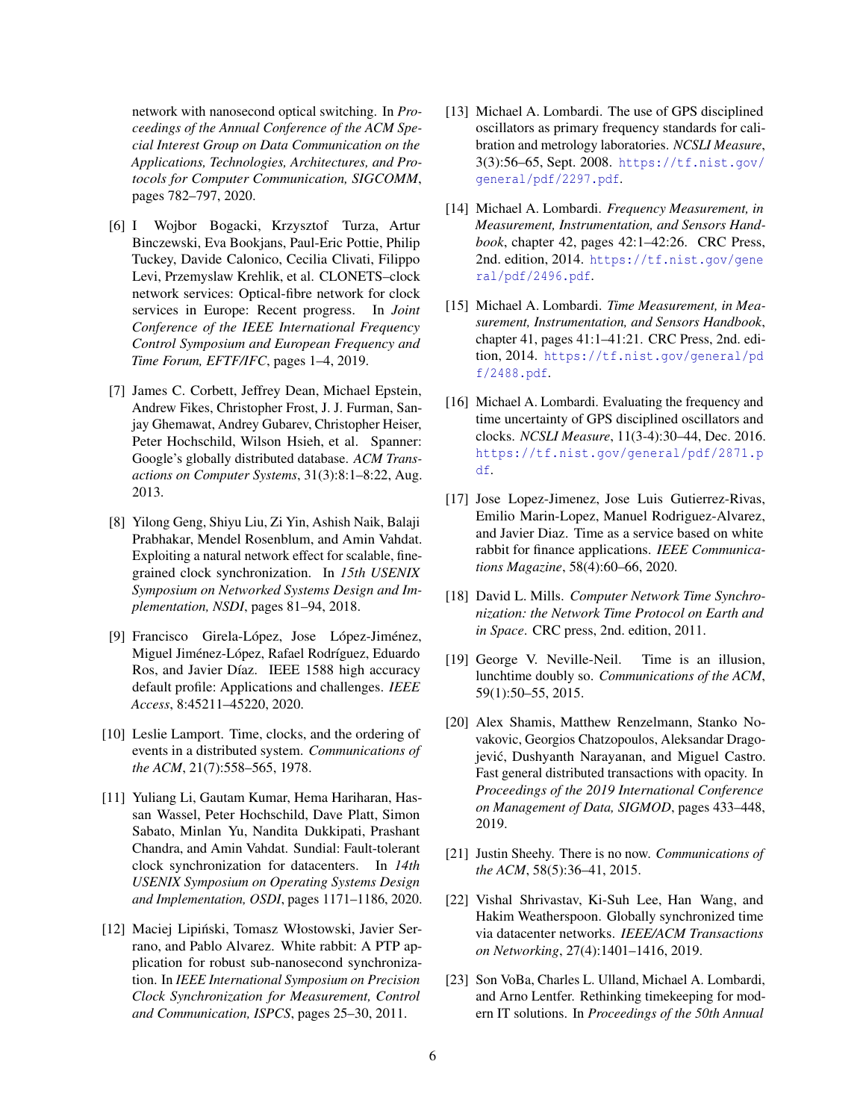network with nanosecond optical switching. In *Proceedings of the Annual Conference of the ACM Special Interest Group on Data Communication on the Applications, Technologies, Architectures, and Protocols for Computer Communication, SIGCOMM*, pages 782–797, 2020.

- <span id="page-5-16"></span>[6] I Wojbor Bogacki, Krzysztof Turza, Artur Binczewski, Eva Bookjans, Paul-Eric Pottie, Philip Tuckey, Davide Calonico, Cecilia Clivati, Filippo Levi, Przemyslaw Krehlik, et al. CLONETS–clock network services: Optical-fibre network for clock services in Europe: Recent progress. In *Joint Conference of the IEEE International Frequency Control Symposium and European Frequency and Time Forum, EFTF/IFC*, pages 1–4, 2019.
- <span id="page-5-5"></span>[7] James C. Corbett, Jeffrey Dean, Michael Epstein, Andrew Fikes, Christopher Frost, J. J. Furman, Sanjay Ghemawat, Andrey Gubarev, Christopher Heiser, Peter Hochschild, Wilson Hsieh, et al. Spanner: Google's globally distributed database. *ACM Transactions on Computer Systems*, 31(3):8:1–8:22, Aug. 2013.
- <span id="page-5-7"></span>[8] Yilong Geng, Shiyu Liu, Zi Yin, Ashish Naik, Balaji Prabhakar, Mendel Rosenblum, and Amin Vahdat. Exploiting a natural network effect for scalable, finegrained clock synchronization. In *15th USENIX Symposium on Networked Systems Design and Implementation, NSDI*, pages 81–94, 2018.
- <span id="page-5-4"></span>[9] Francisco Girela-López, Jose López-Jiménez, Miguel Jiménez-López, Rafael Rodríguez, Eduardo Ros, and Javier Díaz. IEEE 1588 high accuracy default profile: Applications and challenges. *IEEE Access*, 8:45211–45220, 2020.
- <span id="page-5-13"></span>[10] Leslie Lamport. Time, clocks, and the ordering of events in a distributed system. *Communications of the ACM*, 21(7):558–565, 1978.
- <span id="page-5-10"></span>[11] Yuliang Li, Gautam Kumar, Hema Hariharan, Hassan Wassel, Peter Hochschild, Dave Platt, Simon Sabato, Minlan Yu, Nandita Dukkipati, Prashant Chandra, and Amin Vahdat. Sundial: Fault-tolerant clock synchronization for datacenters. In *14th USENIX Symposium on Operating Systems Design and Implementation, OSDI*, pages 1171–1186, 2020.
- <span id="page-5-2"></span>[12] Maciej Lipiński, Tomasz Włostowski, Javier Serrano, and Pablo Alvarez. White rabbit: A PTP application for robust sub-nanosecond synchronization. In *IEEE International Symposium on Precision Clock Synchronization for Measurement, Control and Communication, ISPCS*, pages 25–30, 2011.
- <span id="page-5-14"></span>[13] Michael A. Lombardi. The use of GPS disciplined oscillators as primary frequency standards for calibration and metrology laboratories. *NCSLI Measure*, 3(3):56–65, Sept. 2008. [https://tf.nist.gov/](https://tf.nist.gov/general/pdf/2297.pdf) [general/pdf/2297.pdf](https://tf.nist.gov/general/pdf/2297.pdf).
- <span id="page-5-11"></span>[14] Michael A. Lombardi. *Frequency Measurement, in Measurement, Instrumentation, and Sensors Handbook*, chapter 42, pages 42:1–42:26. CRC Press, 2nd. edition, 2014. [https://tf.nist.gov/gene](https://tf.nist.gov/general/pdf/2496.pdf) [ral/pdf/2496.pdf](https://tf.nist.gov/general/pdf/2496.pdf).
- <span id="page-5-12"></span>[15] Michael A. Lombardi. *Time Measurement, in Measurement, Instrumentation, and Sensors Handbook*, chapter 41, pages 41:1–41:21. CRC Press, 2nd. edition, 2014. [https://tf.nist.gov/general/pd](https://tf.nist.gov/general/pdf/2488.pdf) [f/2488.pdf](https://tf.nist.gov/general/pdf/2488.pdf).
- <span id="page-5-0"></span>[16] Michael A. Lombardi. Evaluating the frequency and time uncertainty of GPS disciplined oscillators and clocks. *NCSLI Measure*, 11(3-4):30–44, Dec. 2016. [https://tf.nist.gov/general/pdf/2871.p](https://tf.nist.gov/general/pdf/2871.pdf) [df](https://tf.nist.gov/general/pdf/2871.pdf).
- <span id="page-5-3"></span>[17] Jose Lopez-Jimenez, Jose Luis Gutierrez-Rivas, Emilio Marin-Lopez, Manuel Rodriguez-Alvarez, and Javier Diaz. Time as a service based on white rabbit for finance applications. *IEEE Communications Magazine*, 58(4):60–66, 2020.
- <span id="page-5-1"></span>[18] David L. Mills. *Computer Network Time Synchronization: the Network Time Protocol on Earth and in Space*. CRC press, 2nd. edition, 2011.
- <span id="page-5-17"></span>[19] George V. Neville-Neil. Time is an illusion, lunchtime doubly so. *Communications of the ACM*, 59(1):50–55, 2015.
- <span id="page-5-8"></span>[20] Alex Shamis, Matthew Renzelmann, Stanko Novakovic, Georgios Chatzopoulos, Aleksandar Dragojević, Dushyanth Narayanan, and Miguel Castro. Fast general distributed transactions with opacity. In *Proceedings of the 2019 International Conference on Management of Data, SIGMOD*, pages 433–448, 2019.
- <span id="page-5-15"></span>[21] Justin Sheehy. There is no now. *Communications of the ACM*, 58(5):36–41, 2015.
- <span id="page-5-9"></span>[22] Vishal Shrivastav, Ki-Suh Lee, Han Wang, and Hakim Weatherspoon. Globally synchronized time via datacenter networks. *IEEE/ACM Transactions on Networking*, 27(4):1401–1416, 2019.
- <span id="page-5-6"></span>[23] Son VoBa, Charles L. Ulland, Michael A. Lombardi, and Arno Lentfer. Rethinking timekeeping for modern IT solutions. In *Proceedings of the 50th Annual*